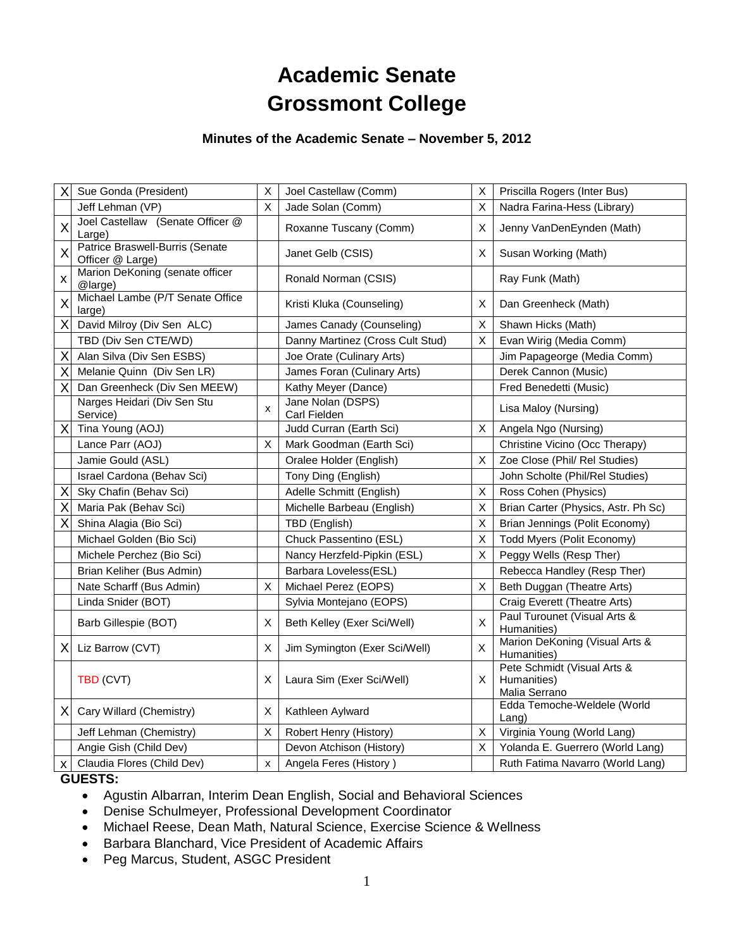# **Academic Senate Grossmont College**

# **Minutes of the Academic Senate – November 5, 2012**

| Χ        | Sue Gonda (President)                               | X                         | Joel Castellaw (Comm)             | X            | Priscilla Rogers (Inter Bus)                                |
|----------|-----------------------------------------------------|---------------------------|-----------------------------------|--------------|-------------------------------------------------------------|
|          | Jeff Lehman (VP)                                    | X                         | Jade Solan (Comm)                 | X            | Nadra Farina-Hess (Library)                                 |
| X        | Joel Castellaw (Senate Officer @<br>Large)          |                           | Roxanne Tuscany (Comm)            | X            | Jenny VanDenEynden (Math)                                   |
| X        | Patrice Braswell-Burris (Senate<br>Officer @ Large) |                           | Janet Gelb (CSIS)                 | х            | Susan Working (Math)                                        |
| X        | Marion DeKoning (senate officer<br>@large)          |                           | Ronald Norman (CSIS)              |              | Ray Funk (Math)                                             |
| X        | Michael Lambe (P/T Senate Office<br>large)          |                           | Kristi Kluka (Counseling)         | Χ            | Dan Greenheck (Math)                                        |
| $\times$ | David Milroy (Div Sen ALC)                          |                           | James Canady (Counseling)         | X            | Shawn Hicks (Math)                                          |
|          | TBD (Div Sen CTE/WD)                                |                           | Danny Martinez (Cross Cult Stud)  | X.           | Evan Wirig (Media Comm)                                     |
| Χ        | Alan Silva (Div Sen ESBS)                           |                           | Joe Orate (Culinary Arts)         |              | Jim Papageorge (Media Comm)                                 |
| Χ        | Melanie Quinn (Div Sen LR)                          |                           | James Foran (Culinary Arts)       |              | Derek Cannon (Music)                                        |
| X        | Dan Greenheck (Div Sen MEEW)                        |                           | Kathy Meyer (Dance)               |              | Fred Benedetti (Music)                                      |
|          | Narges Heidari (Div Sen Stu<br>Service)             | x                         | Jane Nolan (DSPS)<br>Carl Fielden |              | Lisa Maloy (Nursing)                                        |
| X        | Tina Young (AOJ)                                    |                           | Judd Curran (Earth Sci)           | X            | Angela Ngo (Nursing)                                        |
|          | Lance Parr (AOJ)                                    | X                         | Mark Goodman (Earth Sci)          |              | Christine Vicino (Occ Therapy)                              |
|          | Jamie Gould (ASL)                                   |                           | Oralee Holder (English)           | X            | Zoe Close (Phil/ Rel Studies)                               |
|          | Israel Cardona (Behav Sci)                          |                           | Tony Ding (English)               |              | John Scholte (Phil/Rel Studies)                             |
| Χ        | Sky Chafin (Behav Sci)                              |                           | Adelle Schmitt (English)          | Χ            | Ross Cohen (Physics)                                        |
| Χ        | Maria Pak (Behav Sci)                               |                           | Michelle Barbeau (English)        | X            | Brian Carter (Physics, Astr. Ph Sc)                         |
| Χ        | Shina Alagia (Bio Sci)                              |                           | TBD (English)                     | X            | Brian Jennings (Polit Economy)                              |
|          | Michael Golden (Bio Sci)                            |                           | Chuck Passentino (ESL)            | X.           | Todd Myers (Polit Economy)                                  |
|          | Michele Perchez (Bio Sci)                           |                           | Nancy Herzfeld-Pipkin (ESL)       | $\mathsf{X}$ | Peggy Wells (Resp Ther)                                     |
|          | Brian Keliher (Bus Admin)                           |                           | Barbara Loveless(ESL)             |              | Rebecca Handley (Resp Ther)                                 |
|          | Nate Scharff (Bus Admin)                            | X                         | Michael Perez (EOPS)              | X.           | Beth Duggan (Theatre Arts)                                  |
|          | Linda Snider (BOT)                                  |                           | Sylvia Montejano (EOPS)           |              | Craig Everett (Theatre Arts)                                |
|          | Barb Gillespie (BOT)                                | X                         | Beth Kelley (Exer Sci/Well)       | X            | Paul Turounet (Visual Arts &<br>Humanities)                 |
| ΧI       | Liz Barrow (CVT)                                    | X                         | Jim Symington (Exer Sci/Well)     | X            | Marion DeKoning (Visual Arts &<br>Humanities)               |
|          | TBD (CVT)                                           | X                         | Laura Sim (Exer Sci/Well)         | X.           | Pete Schmidt (Visual Arts &<br>Humanities)<br>Malia Serrano |
| ΧI       | Cary Willard (Chemistry)                            | X                         | Kathleen Aylward                  |              | Edda Temoche-Weldele (World<br>$L$ ang)                     |
|          | Jeff Lehman (Chemistry)                             | X                         | Robert Henry (History)            | X            | Virginia Young (World Lang)                                 |
|          | Angie Gish (Child Dev)                              |                           | Devon Atchison (History)          | X            | Yolanda E. Guerrero (World Lang)                            |
| x        | Claudia Flores (Child Dev)                          | $\boldsymbol{\mathsf{x}}$ | Angela Feres (History)            |              | Ruth Fatima Navarro (World Lang)                            |
|          | $\cdots$                                            |                           |                                   |              |                                                             |

## **GUESTS:**

- Agustin Albarran, Interim Dean English, Social and Behavioral Sciences
- Denise Schulmeyer, Professional Development Coordinator
- Michael Reese, Dean Math, Natural Science, Exercise Science & Wellness
- Barbara Blanchard, Vice President of Academic Affairs
- Peg Marcus, Student, ASGC President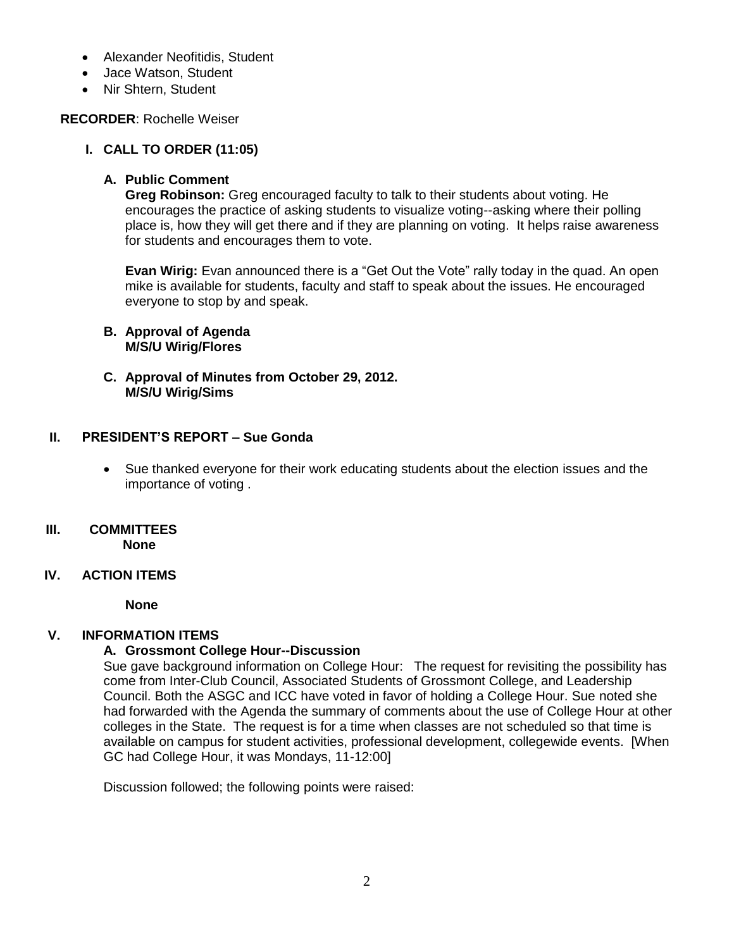- Alexander Neofitidis, Student
- Jace Watson, Student
- Nir Shtern, Student

### **RECORDER**: Rochelle Weiser

### **I. CALL TO ORDER (11:05)**

### **A. Public Comment**

**Greg Robinson:** Greg encouraged faculty to talk to their students about voting. He encourages the practice of asking students to visualize voting--asking where their polling place is, how they will get there and if they are planning on voting. It helps raise awareness for students and encourages them to vote.

**Evan Wirig:** Evan announced there is a "Get Out the Vote" rally today in the quad. An open mike is available for students, faculty and staff to speak about the issues. He encouraged everyone to stop by and speak.

- **B. Approval of Agenda M/S/U Wirig/Flores**
- **C. Approval of Minutes from October 29, 2012. M/S/U Wirig/Sims**

### **II. PRESIDENT'S REPORT – Sue Gonda**

 Sue thanked everyone for their work educating students about the election issues and the importance of voting .

# **III. COMMITTEES**

 **None**

## **IV. ACTION ITEMS**

**None**

## **V. INFORMATION ITEMS**

## **A. Grossmont College Hour--Discussion**

Sue gave background information on College Hour: The request for revisiting the possibility has come from Inter-Club Council, Associated Students of Grossmont College, and Leadership Council. Both the ASGC and ICC have voted in favor of holding a College Hour. Sue noted she had forwarded with the Agenda the summary of comments about the use of College Hour at other colleges in the State. The request is for a time when classes are not scheduled so that time is available on campus for student activities, professional development, collegewide events. [When GC had College Hour, it was Mondays, 11-12:00]

Discussion followed; the following points were raised: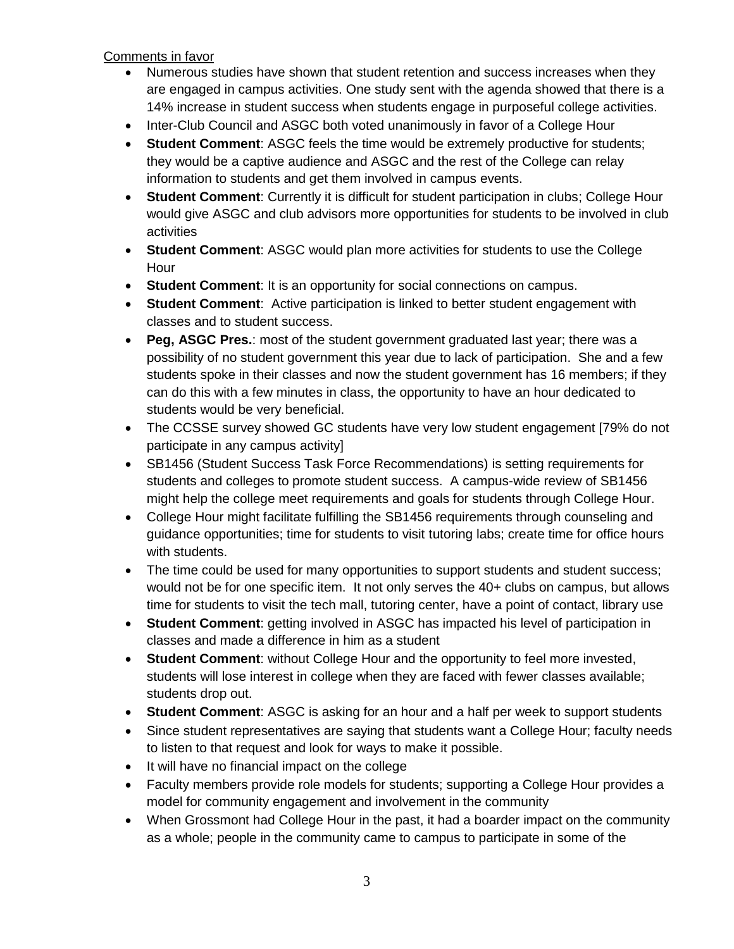Comments in favor

- Numerous studies have shown that student retention and success increases when they are engaged in campus activities. One study sent with the agenda showed that there is a 14% increase in student success when students engage in purposeful college activities.
- Inter-Club Council and ASGC both voted unanimously in favor of a College Hour
- **Student Comment**: ASGC feels the time would be extremely productive for students; they would be a captive audience and ASGC and the rest of the College can relay information to students and get them involved in campus events.
- **Student Comment**: Currently it is difficult for student participation in clubs; College Hour would give ASGC and club advisors more opportunities for students to be involved in club activities
- **Student Comment**: ASGC would plan more activities for students to use the College Hour
- **Student Comment**: It is an opportunity for social connections on campus.
- **Student Comment**: Active participation is linked to better student engagement with classes and to student success.
- **Peg, ASGC Pres.**: most of the student government graduated last year; there was a possibility of no student government this year due to lack of participation. She and a few students spoke in their classes and now the student government has 16 members; if they can do this with a few minutes in class, the opportunity to have an hour dedicated to students would be very beneficial.
- The CCSSE survey showed GC students have very low student engagement [79% do not participate in any campus activity]
- SB1456 (Student Success Task Force Recommendations) is setting requirements for students and colleges to promote student success. A campus-wide review of SB1456 might help the college meet requirements and goals for students through College Hour.
- College Hour might facilitate fulfilling the SB1456 requirements through counseling and guidance opportunities; time for students to visit tutoring labs; create time for office hours with students.
- The time could be used for many opportunities to support students and student success; would not be for one specific item. It not only serves the 40+ clubs on campus, but allows time for students to visit the tech mall, tutoring center, have a point of contact, library use
- **Student Comment**: getting involved in ASGC has impacted his level of participation in classes and made a difference in him as a student
- **Student Comment**: without College Hour and the opportunity to feel more invested, students will lose interest in college when they are faced with fewer classes available; students drop out.
- **Student Comment**: ASGC is asking for an hour and a half per week to support students
- Since student representatives are saying that students want a College Hour; faculty needs to listen to that request and look for ways to make it possible.
- It will have no financial impact on the college
- Faculty members provide role models for students; supporting a College Hour provides a model for community engagement and involvement in the community
- When Grossmont had College Hour in the past, it had a boarder impact on the community as a whole; people in the community came to campus to participate in some of the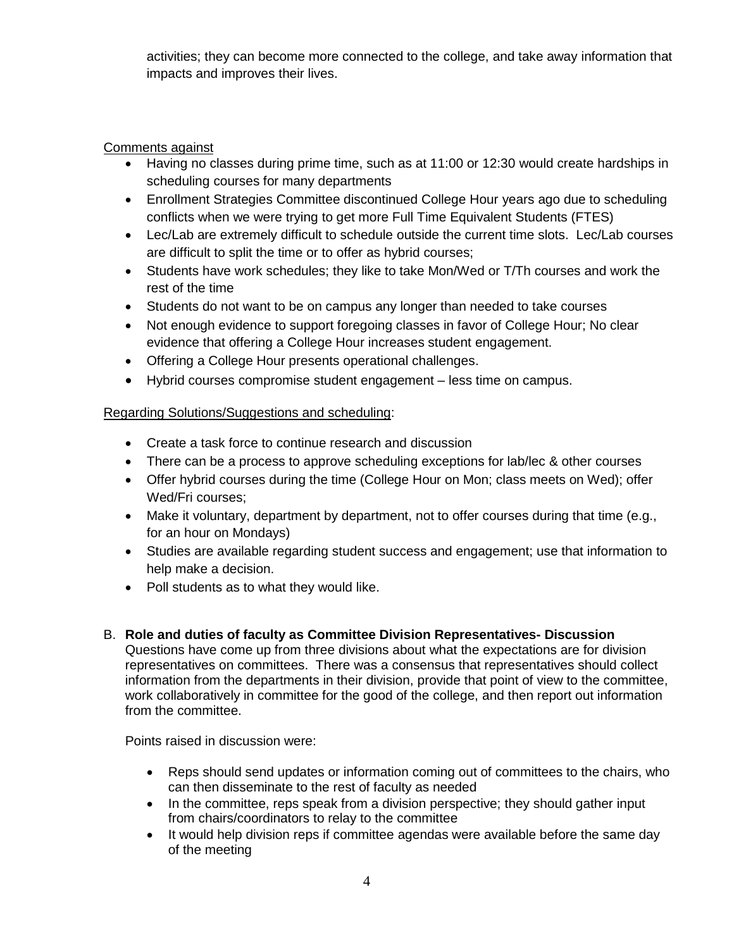activities; they can become more connected to the college, and take away information that impacts and improves their lives.

# Comments against

- Having no classes during prime time, such as at 11:00 or 12:30 would create hardships in scheduling courses for many departments
- Enrollment Strategies Committee discontinued College Hour years ago due to scheduling conflicts when we were trying to get more Full Time Equivalent Students (FTES)
- Lec/Lab are extremely difficult to schedule outside the current time slots. Lec/Lab courses are difficult to split the time or to offer as hybrid courses;
- Students have work schedules; they like to take Mon/Wed or T/Th courses and work the rest of the time
- Students do not want to be on campus any longer than needed to take courses
- Not enough evidence to support foregoing classes in favor of College Hour; No clear evidence that offering a College Hour increases student engagement.
- Offering a College Hour presents operational challenges.
- Hybrid courses compromise student engagement less time on campus.

## Regarding Solutions/Suggestions and scheduling:

- Create a task force to continue research and discussion
- There can be a process to approve scheduling exceptions for lab/lec & other courses
- Offer hybrid courses during the time (College Hour on Mon; class meets on Wed); offer Wed/Fri courses;
- Make it voluntary, department by department, not to offer courses during that time (e.g., for an hour on Mondays)
- Studies are available regarding student success and engagement; use that information to help make a decision.
- Poll students as to what they would like.

## B. **Role and duties of faculty as Committee Division Representatives- Discussion**

Questions have come up from three divisions about what the expectations are for division representatives on committees. There was a consensus that representatives should collect information from the departments in their division, provide that point of view to the committee, work collaboratively in committee for the good of the college, and then report out information from the committee.

Points raised in discussion were:

- Reps should send updates or information coming out of committees to the chairs, who can then disseminate to the rest of faculty as needed
- In the committee, reps speak from a division perspective; they should gather input from chairs/coordinators to relay to the committee
- It would help division reps if committee agendas were available before the same day of the meeting